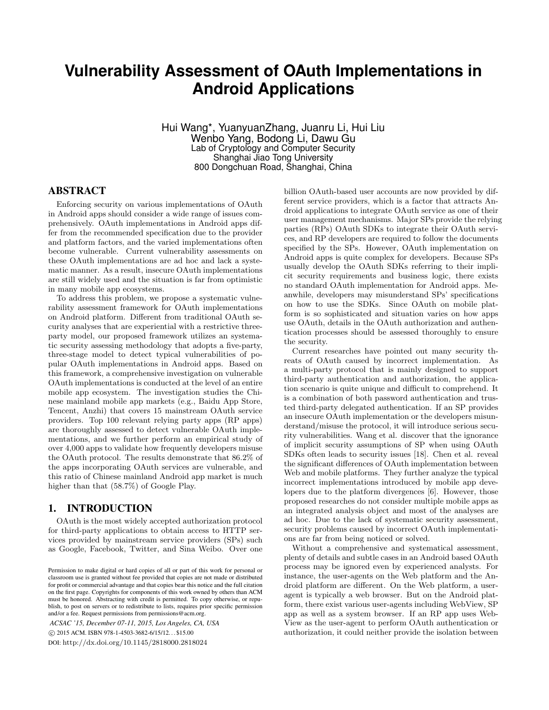# **Vulnerability Assessment of OAuth Implementations in Android Applications**

Hui Wang\*, YuanyuanZhang, Juanru Li, Hui Liu Wenbo Yang, Bodong Li, Dawu Gu Lab of Cryptology and Computer Security Shanghai Jiao Tong University 800 Dongchuan Road, Shanghai, China

## ABSTRACT

Enforcing security on various implementations of OAuth in Android apps should consider a wide range of issues comprehensively. OAuth implementations in Android apps differ from the recommended specification due to the provider and platform factors, and the varied implementations often become vulnerable. Current vulnerability assessments on these OAuth implementations are ad hoc and lack a systematic manner. As a result, insecure OAuth implementations are still widely used and the situation is far from optimistic in many mobile app ecosystems.

To address this problem, we propose a systematic vulnerability assessment framework for OAuth implementations on Android platform. Different from traditional OAuth security analyses that are experiential with a restrictive threeparty model, our proposed framework utilizes an systematic security assessing methodology that adopts a five-party, three-stage model to detect typical vulnerabilities of popular OAuth implementations in Android apps. Based on this framework, a comprehensive investigation on vulnerable OAuth implementations is conducted at the level of an entire mobile app ecosystem. The investigation studies the Chinese mainland mobile app markets (e.g., Baidu App Store, Tencent, Anzhi) that covers 15 mainstream OAuth service providers. Top 100 relevant relying party apps (RP apps) are thoroughly assessed to detect vulnerable OAuth implementations, and we further perform an empirical study of over 4,000 apps to validate how frequently developers misuse the OAuth protocol. The results demonstrate that 86.2% of the apps incorporating OAuth services are vulnerable, and this ratio of Chinese mainland Android app market is much higher than that (58.7%) of Google Play.

## 1. INTRODUCTION

OAuth is the most widely accepted authorization protocol for third-party applications to obtain access to HTTP services provided by mainstream service providers (SPs) such as Google, Facebook, Twitter, and Sina Weibo. Over one

*ACSAC '15, December 07-11, 2015, Los Angeles, CA, USA* c 2015 ACM. ISBN 978-1-4503-3682-6/15/12. . . \$15.00

DOI: http://dx.doi.org/10.1145/2818000.2818024

billion OAuth-based user accounts are now provided by different service providers, which is a factor that attracts Android applications to integrate OAuth service as one of their user management mechanisms. Major SPs provide the relying parties (RPs) OAuth SDKs to integrate their OAuth services, and RP developers are required to follow the documents specified by the SPs. However, OAuth implementation on Android apps is quite complex for developers. Because SPs usually develop the OAuth SDKs referring to their implicit security requirements and business logic, there exists no standard OAuth implementation for Android apps. Meanwhile, developers may misunderstand SPs' specifications on how to use the SDKs. Since OAuth on mobile platform is so sophisticated and situation varies on how apps use OAuth, details in the OAuth authorization and authentication processes should be assessed thoroughly to ensure the security.

Current researches have pointed out many security threats of OAuth caused by incorrect implementation. As a multi-party protocol that is mainly designed to support third-party authentication and authorization, the application scenario is quite unique and difficult to comprehend. It is a combination of both password authentication and trusted third-party delegated authentication. If an SP provides an insecure OAuth implementation or the developers misunderstand/misuse the protocol, it will introduce serious security vulnerabilities. Wang et al. discover that the ignorance of implicit security assumptions of SP when using OAuth SDKs often leads to security issues [18]. Chen et al. reveal the significant differences of OAuth implementation between Web and mobile platforms. They further analyze the typical incorrect implementations introduced by mobile app developers due to the platform divergences [6]. However, those proposed researches do not consider multiple mobile apps as an integrated analysis object and most of the analyses are ad hoc. Due to the lack of systematic security assessment, security problems caused by incorrect OAuth implementations are far from being noticed or solved.

Without a comprehensive and systematical assessment, plenty of details and subtle cases in an Android based OAuth process may be ignored even by experienced analysts. For instance, the user-agents on the Web platform and the Android platform are different. On the Web platform, a useragent is typically a web browser. But on the Android platform, there exist various user-agents including WebView, SP app as well as a system browser. If an RP app uses Web-View as the user-agent to perform OAuth authentication or authorization, it could neither provide the isolation between

Permission to make digital or hard copies of all or part of this work for personal or classroom use is granted without fee provided that copies are not made or distributed for profit or commercial advantage and that copies bear this notice and the full citation on the first page. Copyrights for components of this work owned by others than ACM must be honored. Abstracting with credit is permitted. To copy otherwise, or republish, to post on servers or to redistribute to lists, requires prior specific permission and/or a fee. Request permissions from permissions@acm.org.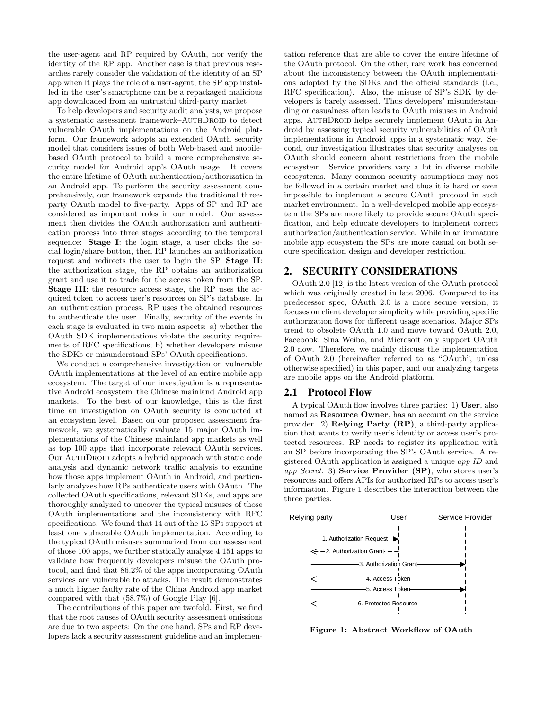the user-agent and RP required by OAuth, nor verify the identity of the RP app. Another case is that previous researches rarely consider the validation of the identity of an SP app when it plays the role of a user-agent, the SP app installed in the user's smartphone can be a repackaged malicious app downloaded from an untrustful third-party market.

To help developers and security audit analysts, we propose a systematic assessment framework–AUTHDROID to detect vulnerable OAuth implementations on the Android platform. Our framework adopts an extended OAuth security model that considers issues of both Web-based and mobilebased OAuth protocol to build a more comprehensive security model for Android app's OAuth usage. It covers the entire lifetime of OAuth authentication/authorization in an Android app. To perform the security assessment comprehensively, our framework expands the traditional threeparty OAuth model to five-party. Apps of SP and RP are considered as important roles in our model. Our assessment then divides the OAuth authorization and authentication process into three stages according to the temporal sequence: Stage I: the login stage, a user clicks the social login/share button, then RP launches an authorization request and redirects the user to login the SP. Stage II: the authorization stage, the RP obtains an authorization grant and use it to trade for the access token from the SP. Stage III: the resource access stage, the RP uses the acquired token to access user's resources on SP's database. In an authentication process, RP uses the obtained resources to authenticate the user. Finally, security of the events in each stage is evaluated in two main aspects: a) whether the OAuth SDK implementations violate the security requirements of RFC specifications; b) whether developers misuse the SDKs or misunderstand SPs' OAuth specifications.

We conduct a comprehensive investigation on vulnerable OAuth implementations at the level of an entire mobile app ecosystem. The target of our investigation is a representative Android ecosystem–the Chinese mainland Android app markets. To the best of our knowledge, this is the first time an investigation on OAuth security is conducted at an ecosystem level. Based on our proposed assessment framework, we systematically evaluate 15 major OAuth implementations of the Chinese mainland app markets as well as top 100 apps that incorporate relevant OAuth services. Our AUTHDROID adopts a hybrid approach with static code analysis and dynamic network traffic analysis to examine how those apps implement OAuth in Android, and particularly analyzes how RPs authenticate users with OAuth. The collected OAuth specifications, relevant SDKs, and apps are thoroughly analyzed to uncover the typical misuses of those OAuth implementations and the inconsistency with RFC specifications. We found that 14 out of the 15 SPs support at least one vulnerable OAuth implementation. According to the typical OAuth misuses summarized from our assessment of those 100 apps, we further statically analyze 4,151 apps to validate how frequently developers misuse the OAuth protocol, and find that 86.2% of the apps incorporating OAuth services are vulnerable to attacks. The result demonstrates a much higher faulty rate of the China Android app market compared with that (58.7%) of Google Play [6].

The contributions of this paper are twofold. First, we find that the root causes of OAuth security assessment omissions are due to two aspects: On the one hand, SPs and RP developers lack a security assessment guideline and an implementation reference that are able to cover the entire lifetime of the OAuth protocol. On the other, rare work has concerned about the inconsistency between the OAuth implementations adopted by the SDKs and the official standards (i.e., RFC specification). Also, the misuse of SP's SDK by developers is barely assessed. Thus developers' misunderstanding or casualness often leads to OAuth misuses in Android apps. AUTHDROID helps securely implement OAuth in Android by assessing typical security vulnerabilities of OAuth implementations in Android apps in a systematic way. Second, our investigation illustrates that security analyses on OAuth should concern about restrictions from the mobile ecosystem. Service providers vary a lot in diverse mobile ecosystems. Many common security assumptions may not be followed in a certain market and thus it is hard or even impossible to implement a secure OAuth protocol in such market environment. In a well-developed mobile app ecosystem the SPs are more likely to provide secure OAuth specification, and help educate developers to implement correct authorization/authentication service. While in an immature mobile app ecosystem the SPs are more casual on both secure specification design and developer restriction.

# 2. SECURITY CONSIDERATIONS

OAuth 2.0 [12] is the latest version of the OAuth protocol which was originally created in late 2006. Compared to its predecessor spec, OAuth 2.0 is a more secure version, it focuses on client developer simplicity while providing specific authorization flows for different usage scenarios. Major SPs trend to obsolete OAuth 1.0 and move toward OAuth 2.0, Facebook, Sina Weibo, and Microsoft only support OAuth 2.0 now. Therefore, we mainly discuss the implementation of OAuth 2.0 (hereinafter referred to as "OAuth", unless otherwise specified) in this paper, and our analyzing targets are mobile apps on the Android platform.

## 2.1 Protocol Flow

A typical OAuth flow involves three parties: 1) User, also named as Resource Owner, has an account on the service provider. 2) Relying Party (RP), a third-party application that wants to verify user's identity or access user's protected resources. RP needs to register its application with an SP before incorporating the SP's OAuth service. A registered OAuth application is assigned a unique app ID and app Secret. 3) Service Provider (SP), who stores user's resources and offers APIs for authorized RPs to access user's information. Figure 1 describes the interaction between the three parties.



Figure 1: Abstract Workflow of OAuth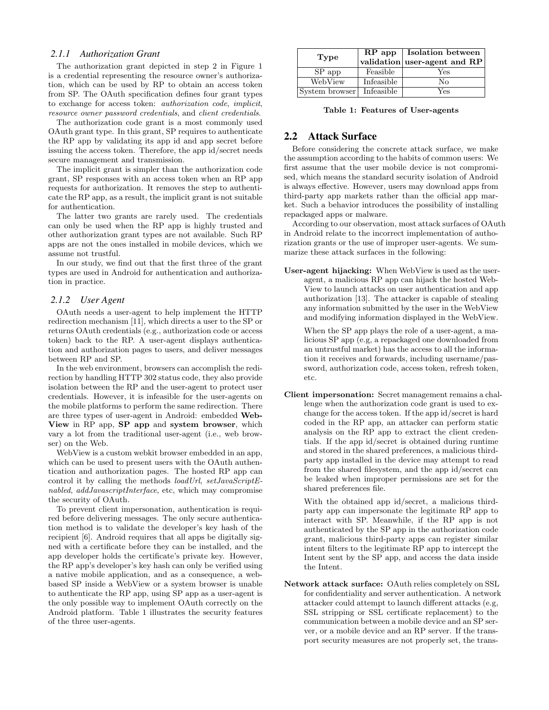## *2.1.1 Authorization Grant*

The authorization grant depicted in step 2 in Figure 1 is a credential representing the resource owner's authorization, which can be used by RP to obtain an access token from SP. The OAuth specification defines four grant types to exchange for access token: authorization code, implicit, resource owner password credentials, and client credentials.

The authorization code grant is a most commonly used OAuth grant type. In this grant, SP requires to authenticate the RP app by validating its app id and app secret before issuing the access token. Therefore, the app id/secret needs secure management and transmission.

The implicit grant is simpler than the authorization code grant, SP responses with an access token when an RP app requests for authorization. It removes the step to authenticate the RP app, as a result, the implicit grant is not suitable for authentication.

The latter two grants are rarely used. The credentials can only be used when the RP app is highly trusted and other authorization grant types are not available. Such RP apps are not the ones installed in mobile devices, which we assume not trustful.

In our study, we find out that the first three of the grant types are used in Android for authentication and authorization in practice.

#### *2.1.2 User Agent*

OAuth needs a user-agent to help implement the HTTP redirection mechanism [11], which directs a user to the SP or returns OAuth credentials (e.g., authorization code or access token) back to the RP. A user-agent displays authentication and authorization pages to users, and deliver messages between RP and SP.

In the web environment, browsers can accomplish the redirection by handling HTTP 302 status code, they also provide isolation between the RP and the user-agent to protect user credentials. However, it is infeasible for the user-agents on the mobile platforms to perform the same redirection. There are three types of user-agent in Android: embedded Web-View in RP app, SP app and system browser, which vary a lot from the traditional user-agent (i.e., web browser) on the Web.

WebView is a custom webkit browser embedded in an app, which can be used to present users with the OAuth authentication and authorization pages. The hosted RP app can control it by calling the methods loadUrl, setJavaScriptEnabled, addJavascriptInterface, etc, which may compromise the security of OAuth.

To prevent client impersonation, authentication is required before delivering messages. The only secure authentication method is to validate the developer's key hash of the recipient [6]. Android requires that all apps be digitally signed with a certificate before they can be installed, and the app developer holds the certificate's private key. However, the RP app's developer's key hash can only be verified using a native mobile application, and as a consequence, a webbased SP inside a WebView or a system browser is unable to authenticate the RP app, using SP app as a user-agent is the only possible way to implement OAuth correctly on the Android platform. Table 1 illustrates the security features of the three user-agents.

| Type           |            | $RP$ app   Isolation between   |  |  |
|----------------|------------|--------------------------------|--|--|
|                |            | validation user-agent and $RP$ |  |  |
| SP app         | Feasible   | Yes                            |  |  |
| WebView        | Infeasible | No                             |  |  |
| System browser | Infeasible | Yes                            |  |  |

Table 1: Features of User-agents

## 2.2 Attack Surface

Before considering the concrete attack surface, we make the assumption according to the habits of common users: We first assume that the user mobile device is not compromised, which means the standard security isolation of Android is always effective. However, users may download apps from third-party app markets rather than the official app market. Such a behavior introduces the possibility of installing repackaged apps or malware.

According to our observation, most attack surfaces of OAuth in Android relate to the incorrect implementation of authorization grants or the use of improper user-agents. We summarize these attack surfaces in the following:

User-agent hijacking: When WebView is used as the useragent, a malicious RP app can hijack the hosted Web-View to launch attacks on user authentication and app authorization [13]. The attacker is capable of stealing any information submitted by the user in the WebView and modifying information displayed in the WebView.

When the SP app plays the role of a user-agent, a malicious SP app (e.g, a repackaged one downloaded from an untrustful market) has the access to all the information it receives and forwards, including username/password, authorization code, access token, refresh token, etc.

Client impersonation: Secret management remains a challenge when the authorization code grant is used to exchange for the access token. If the app id/secret is hard coded in the RP app, an attacker can perform static analysis on the RP app to extract the client credentials. If the app id/secret is obtained during runtime and stored in the shared preferences, a malicious thirdparty app installed in the device may attempt to read from the shared filesystem, and the app id/secret can be leaked when improper permissions are set for the shared preferences file.

With the obtained app id/secret, a malicious thirdparty app can impersonate the legitimate RP app to interact with SP. Meanwhile, if the RP app is not authenticated by the SP app in the authorization code grant, malicious third-party apps can register similar intent filters to the legitimate RP app to intercept the Intent sent by the SP app, and access the data inside the Intent.

Network attack surface: OAuth relies completely on SSL for confidentiality and server authentication. A network attacker could attempt to launch different attacks (e.g, SSL stripping or SSL certificate replacement) to the communication between a mobile device and an SP server, or a mobile device and an RP server. If the transport security measures are not properly set, the trans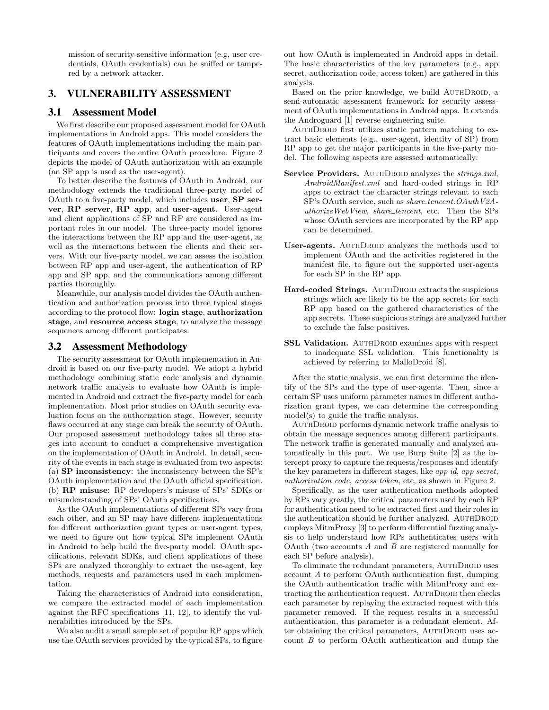mission of security-sensitive information (e.g, user credentials, OAuth credentials) can be sniffed or tampered by a network attacker.

# 3. VULNERABILITY ASSESSMENT

## 3.1 Assessment Model

We first describe our proposed assessment model for OAuth implementations in Android apps. This model considers the features of OAuth implementations including the main participants and covers the entire OAuth procedure. Figure 2 depicts the model of OAuth authorization with an example (an SP app is used as the user-agent).

To better describe the features of OAuth in Android, our methodology extends the traditional three-party model of OAuth to a five-party model, which includes user, SP server, RP server, RP app, and user-agent. User-agent and client applications of SP and RP are considered as important roles in our model. The three-party model ignores the interactions between the RP app and the user-agent, as well as the interactions between the clients and their servers. With our five-party model, we can assess the isolation between RP app and user-agent, the authentication of RP app and SP app, and the communications among different parties thoroughly.

Meanwhile, our analysis model divides the OAuth authentication and authorization process into three typical stages according to the protocol flow: login stage, authorization stage, and resource access stage, to analyze the message sequences among different participates.

## 3.2 Assessment Methodology

The security assessment for OAuth implementation in Android is based on our five-party model. We adopt a hybrid methodology combining static code analysis and dynamic network traffic analysis to evaluate how OAuth is implemented in Android and extract the five-party model for each implementation. Most prior studies on OAuth security evaluation focus on the authorization stage. However, security flaws occurred at any stage can break the security of OAuth. Our proposed assessment methodology takes all three stages into account to conduct a comprehensive investigation on the implementation of OAuth in Android. In detail, security of the events in each stage is evaluated from two aspects: (a) SP inconsistency: the inconsistency between the SP's OAuth implementation and the OAuth official specification. (b) RP misuse: RP developers's misuse of SPs' SDKs or misunderstanding of SPs' OAuth specifications.

As the OAuth implementations of different SPs vary from each other, and an SP may have different implementations for different authorization grant types or user-agent types, we need to figure out how typical SPs implement OAuth in Android to help build the five-party model. OAuth specifications, relevant SDKs, and client applications of these SPs are analyzed thoroughly to extract the use-agent, key methods, requests and parameters used in each implementation.

Taking the characteristics of Android into consideration, we compare the extracted model of each implementation against the RFC specifications [11, 12], to identify the vulnerabilities introduced by the SPs.

We also audit a small sample set of popular RP apps which use the OAuth services provided by the typical SPs, to figure out how OAuth is implemented in Android apps in detail. The basic characteristics of the key parameters (e.g., app secret, authorization code, access token) are gathered in this analysis.

Based on the prior knowledge, we build AUTHDROID, a semi-automatic assessment framework for security assessment of OAuth implementations in Android apps. It extends the Androguard [1] reverse engineering suite.

AUTHDROID first utilizes static pattern matching to extract basic elements (e.g., user-agent, identity of SP) from RP app to get the major participants in the five-party model. The following aspects are assessed automatically:

- Service Providers. AUTHDROID analyzes the strings.xml, AndroidManifest.xml and hard-coded strings in RP apps to extract the character strings relevant to each SP's OAuth service, such as share.tencent.OAuthV2Authorize Web View, share\_tencent, etc. Then the  $SPs$ whose OAuth services are incorporated by the RP app can be determined.
- User-agents. AUTHDROID analyzes the methods used to implement OAuth and the activities registered in the manifest file, to figure out the supported user-agents for each SP in the RP app.
- Hard-coded Strings. AUTHDROID extracts the suspicious strings which are likely to be the app secrets for each RP app based on the gathered characteristics of the app secrets. These suspicious strings are analyzed further to exclude the false positives.
- SSL Validation. AUTHDROID examines apps with respect to inadequate SSL validation. This functionality is achieved by referring to MalloDroid [8].

After the static analysis, we can first determine the identify of the SPs and the type of user-agents. Then, since a certain SP uses uniform parameter names in different authorization grant types, we can determine the corresponding model(s) to guide the traffic analysis.

AuthDroid performs dynamic network traffic analysis to obtain the message sequences among different participants. The network traffic is generated manually and analyzed automatically in this part. We use Burp Suite [2] as the intercept proxy to capture the requests/responses and identify the key parameters in different stages, like app id, app secret, authorization code, access token, etc, as shown in Figure 2.

Specifically, as the user authentication methods adopted by RPs vary greatly, the critical parameters used by each RP for authentication need to be extracted first and their roles in the authentication should be further analyzed. AUTHDROID employs MitmProxy [3] to perform differential fuzzing analysis to help understand how RPs authenticates users with OAuth (two accounts A and B are registered manually for each SP before analysis).

To eliminate the redundant parameters, AUTHDROID uses account A to perform OAuth authentication first, dumping the OAuth authentication traffic with MitmProxy and extracting the authentication request. AUTHDROID then checks each parameter by replaying the extracted request with this parameter removed. If the request results in a successful authentication, this parameter is a redundant element. After obtaining the critical parameters, AUTHDROID uses account B to perform OAuth authentication and dump the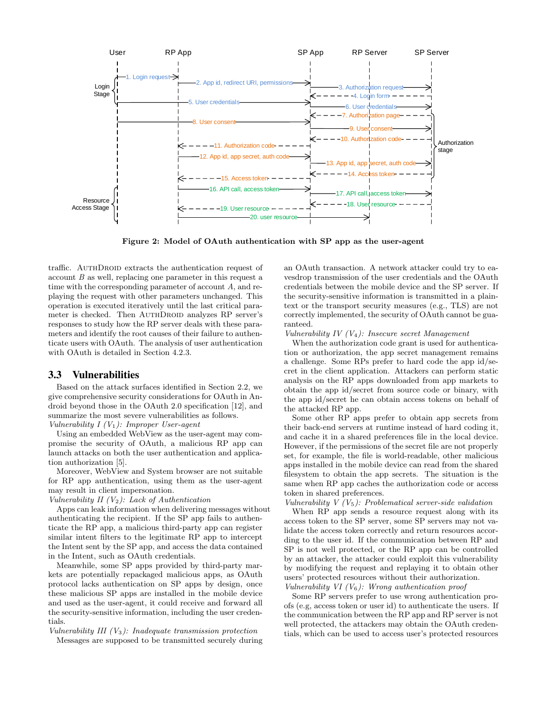

Figure 2: Model of OAuth authentication with SP app as the user-agent

traffic. AUTHDROID extracts the authentication request of account B as well, replacing one parameter in this request a time with the corresponding parameter of account A, and replaying the request with other parameters unchanged. This operation is executed iteratively until the last critical parameter is checked. Then AUTHDROID analyzes RP server's responses to study how the RP server deals with these parameters and identify the root causes of their failure to authenticate users with OAuth. The analysis of user authentication with OAuth is detailed in Section 4.2.3.

# 3.3 Vulnerabilities

Based on the attack surfaces identified in Section 2.2, we give comprehensive security considerations for OAuth in Android beyond those in the OAuth 2.0 specification [12], and summarize the most severe vulnerabilities as follows. Vulnerability  $I(V_1)$ : Improper User-agent

Using an embedded WebView as the user-agent may com-

promise the security of OAuth, a malicious RP app can launch attacks on both the user authentication and application authorization [5].

Moreover, WebView and System browser are not suitable for RP app authentication, using them as the user-agent may result in client impersonation.

Vulnerability  $II$  (V<sub>2</sub>): Lack of Authentication

Apps can leak information when delivering messages without authenticating the recipient. If the SP app fails to authenticate the RP app, a malicious third-party app can register similar intent filters to the legitimate RP app to intercept the Intent sent by the SP app, and access the data contained in the Intent, such as OAuth credentials.

Meanwhile, some SP apps provided by third-party markets are potentially repackaged malicious apps, as OAuth protocol lacks authentication on SP apps by design, once these malicious SP apps are installed in the mobile device and used as the user-agent, it could receive and forward all the security-sensitive information, including the user credentials.

Vulnerability III  $(V_3)$ : Inadequate transmission protection

Messages are supposed to be transmitted securely during

an OAuth transaction. A network attacker could try to eavesdrop transmission of the user credentials and the OAuth credentials between the mobile device and the SP server. If the security-sensitive information is transmitted in a plaintext or the transport security measures (e.g., TLS) are not correctly implemented, the security of OAuth cannot be guaranteed.

#### Vulnerability IV  $(V_4)$ : Insecure secret Management

When the authorization code grant is used for authentication or authorization, the app secret management remains a challenge. Some RPs prefer to hard code the app id/secret in the client application. Attackers can perform static analysis on the RP apps downloaded from app markets to obtain the app id/secret from source code or binary, with the app id/secret he can obtain access tokens on behalf of the attacked RP app.

Some other RP apps prefer to obtain app secrets from their back-end servers at runtime instead of hard coding it, and cache it in a shared preferences file in the local device. However, if the permissions of the secret file are not properly set, for example, the file is world-readable, other malicious apps installed in the mobile device can read from the shared filesystem to obtain the app secrets. The situation is the same when RP app caches the authorization code or access token in shared preferences.

Vulnerability  $V (V_5)$ : Problematical server-side validation

When RP app sends a resource request along with its access token to the SP server, some SP servers may not validate the access token correctly and return resources according to the user id. If the communication between RP and SP is not well protected, or the RP app can be controlled by an attacker, the attacker could exploit this vulnerability by modifying the request and replaying it to obtain other users' protected resources without their authorization. Vulnerability VI  $(V_6)$ : Wrong authentication proof

Some RP servers prefer to use wrong authentication proofs (e.g, access token or user id) to authenticate the users. If the communication between the RP app and RP server is not well protected, the attackers may obtain the OAuth credentials, which can be used to access user's protected resources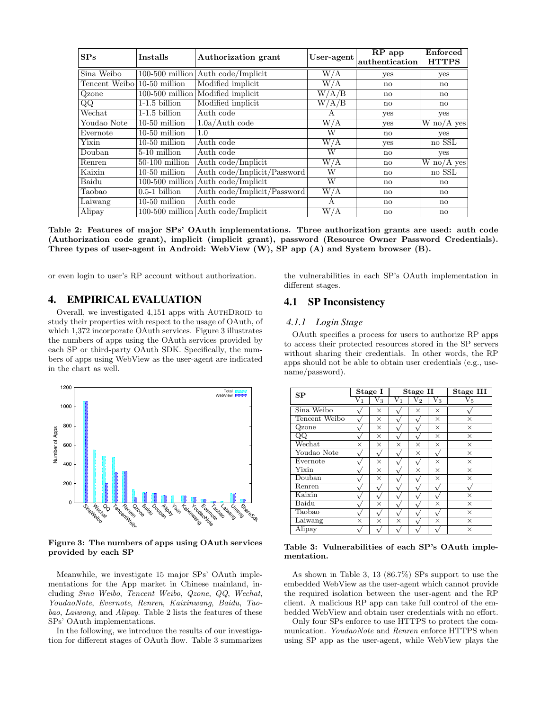| SPs                         | <b>Installs</b>   | Authorization grant                  | User-agent              | $\overline{\text{RP}}$ app<br>authentication | Enforced<br><b>HTTPS</b> |
|-----------------------------|-------------------|--------------------------------------|-------------------------|----------------------------------------------|--------------------------|
| Sina Weibo                  | $100-500$ million | Auth code/Implicit                   | W/A                     | yes                                          | yes                      |
| Tencent Weibo 10-50 million |                   | Modified implicit                    | W/A                     | $\mathbf{n}$                                 | $\mathbf{n}$             |
| Qzone                       |                   | 100-500 million Modified implicit    | W/A/B                   | $\mathbf{n}$                                 | no                       |
| QQ                          | $1-1.5$ billion   | Modified implicit                    | W/A/B                   | no                                           | no                       |
| Wechat                      | $1-1.5$ billion   | Auth code                            | А                       | yes                                          | yes                      |
| Youdao Note                 | $10-50$ million   | 1.0a/Auth code                       | W/A                     | yes                                          | $W_{\rm 10}/A_{\rm 100}$ |
| Evernote                    | $10-50$ million   | 1.0                                  | W                       | $\mathbf{n}\mathbf{o}$                       | yes                      |
| Yixin                       | $10-50$ million   | Auth code                            | $\overline{\text{W/A}}$ | yes                                          | no SSL                   |
| Douban                      | 5-10 million      | Auth code                            | W                       | $\mathbf{n}$                                 | yes                      |
| Renren                      | $50-100$ million  | Auth code/Implicit                   | W/A                     | $\mathbf{n}$                                 | $W_{\rm 10}/A_{\rm 100}$ |
| Kaixin                      | $10-50$ million   | Auth code/Implicit/Password          | W                       | $\mathbf{n}$                                 | no SSL                   |
| Baidu                       | $100-500$ million | Auth code/Implicit                   | W                       | $\mathbf{n}$                                 | no                       |
| Taobao                      | $0.5-1$ billion   | Auth code/Implicit/Password          | W/A                     | $\mathbf{n}$                                 | no                       |
| Laiwang                     | $10-50$ million   | Auth code                            | A                       | $\mathbf{n}$                                 | $\mathbf{n}$             |
| Alipay                      |                   | $100-500$ million Auth code/Implicit | W/A                     | no                                           | no                       |

Table 2: Features of major SPs' OAuth implementations. Three authorization grants are used: auth code (Authorization code grant), implicit (implicit grant), password (Resource Owner Password Credentials). Three types of user-agent in Android: WebView (W), SP app (A) and System browser (B).

or even login to user's RP account without authorization.

## 4. EMPIRICAL EVALUATION

Overall, we investigated  $4.151$  apps with AUTHDROID to study their properties with respect to the usage of OAuth, of which 1,372 incorporate OAuth services. Figure 3 illustrates the numbers of apps using the OAuth services provided by each SP or third-party OAuth SDK. Specifically, the numbers of apps using WebView as the user-agent are indicated in the chart as well.



Figure 3: The numbers of apps using OAuth services provided by each SP

Meanwhile, we investigate 15 major SPs' OAuth implementations for the App market in Chinese mainland, including Sina Weibo, Tencent Weibo, Qzone, QQ, Wechat, YoudaoNote, Evernote, Renren, Kaixinwang, Baidu, Taobao, Laiwang, and Alipay. Table 2 lists the features of these SPs' OAuth implementations.

In the following, we introduce the results of our investigation for different stages of OAuth flow. Table 3 summarizes the vulnerabilities in each SP's OAuth implementation in different stages.

# 4.1 SP Inconsistency

#### *4.1.1 Login Stage*

OAuth specifies a process for users to authorize RP apps to access their protected resources stored in the SP servers without sharing their credentials. In other words, the RP apps should not be able to obtain user credentials (e.g., usename/password).

| SP            | Stage I  |          | Stage II |            |              | Stage III |
|---------------|----------|----------|----------|------------|--------------|-----------|
|               |          | 3        |          | $\sqrt{2}$ | $V_3$        | V5        |
| Sina Weibo    |          | $\times$ |          | $\times$   | X            |           |
| Tencent Weibo |          | ×        |          |            | X            | $\times$  |
| Qzone         |          | $\times$ |          |            | X            | $\times$  |
| QQ            |          | $\times$ |          |            | X            | X         |
| Wechat        | $\times$ | X        | $\times$ | $\times$   | X            | X         |
| Youdao Note   |          |          |          | $\times$   |              | $\times$  |
| Evernote      |          | $\times$ |          |            | $\times$     | X         |
| Yixin         |          | $\times$ |          | $\times$   | $\times$     | $\times$  |
| Douban        |          | $\times$ |          |            | $\times$     | X         |
| Renren        |          |          |          |            | <sup>1</sup> |           |
| Kaixin        |          |          |          |            |              | $\times$  |
| Baidu         |          | X        |          |            | $\times$     | X         |
| Taobao        |          |          |          |            | À,           | $\times$  |
| Laiwang       | $\times$ | $\times$ | $\times$ |            | $\times$     | $\times$  |
| Alipay        |          |          |          |            |              | $\times$  |

Table 3: Vulnerabilities of each SP's OAuth implementation.

As shown in Table 3, 13 (86.7%) SPs support to use the embedded WebView as the user-agent which cannot provide the required isolation between the user-agent and the RP client. A malicious RP app can take full control of the embedded WebView and obtain user credentials with no effort.

Only four SPs enforce to use HTTPS to protect the communication. YoudaoNote and Renren enforce HTTPS when using SP app as the user-agent, while WebView plays the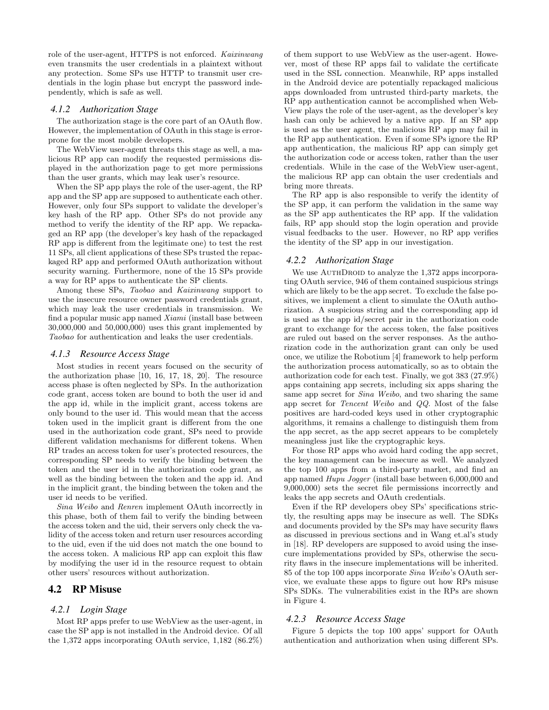role of the user-agent, HTTPS is not enforced. Kaixinwang even transmits the user credentials in a plaintext without any protection. Some SPs use HTTP to transmit user credentials in the login phase but encrypt the password independently, which is safe as well.

#### *4.1.2 Authorization Stage*

The authorization stage is the core part of an OAuth flow. However, the implementation of OAuth in this stage is errorprone for the most mobile developers.

The WebView user-agent threats this stage as well, a malicious RP app can modify the requested permissions displayed in the authorization page to get more permissions than the user grants, which may leak user's resource.

When the SP app plays the role of the user-agent, the RP app and the SP app are supposed to authenticate each other. However, only four SPs support to validate the developer's key hash of the RP app. Other SPs do not provide any method to verify the identity of the RP app. We repackaged an RP app (the developer's key hash of the repackaged RP app is different from the legitimate one) to test the rest 11 SPs, all client applications of these SPs trusted the repackaged RP app and performed OAuth authorization without security warning. Furthermore, none of the 15 SPs provide a way for RP apps to authenticate the SP clients.

Among these SPs, Taobao and Kaixinwang support to use the insecure resource owner password credentials grant, which may leak the user credentials in transmission. We find a popular music app named Xiami (install base between 30,000,000 and 50,000,000) uses this grant implemented by Taobao for authentication and leaks the user credentials.

#### *4.1.3 Resource Access Stage*

Most studies in recent years focused on the security of the authorization phase [10, 16, 17, 18, 20]. The resource access phase is often neglected by SPs. In the authorization code grant, access token are bound to both the user id and the app id, while in the implicit grant, access tokens are only bound to the user id. This would mean that the access token used in the implicit grant is different from the one used in the authorization code grant, SPs need to provide different validation mechanisms for different tokens. When RP trades an access token for user's protected resources, the corresponding SP needs to verify the binding between the token and the user id in the authorization code grant, as well as the binding between the token and the app id. And in the implicit grant, the binding between the token and the user id needs to be verified.

Sina Weibo and Renren implement OAuth incorrectly in this phase, both of them fail to verify the binding between the access token and the uid, their servers only check the validity of the access token and return user resources according to the uid, even if the uid does not match the one bound to the access token. A malicious RP app can exploit this flaw by modifying the user id in the resource request to obtain other users' resources without authorization.

## 4.2 RP Misuse

#### *4.2.1 Login Stage*

Most RP apps prefer to use WebView as the user-agent, in case the SP app is not installed in the Android device. Of all the 1,372 apps incorporating OAuth service, 1,182 (86.2%) of them support to use WebView as the user-agent. However, most of these RP apps fail to validate the certificate used in the SSL connection. Meanwhile, RP apps installed in the Android device are potentially repackaged malicious apps downloaded from untrusted third-party markets, the RP app authentication cannot be accomplished when Web-View plays the role of the user-agent, as the developer's key hash can only be achieved by a native app. If an SP app is used as the user agent, the malicious RP app may fail in the RP app authentication. Even if some SPs ignore the RP app authentication, the malicious RP app can simply get the authorization code or access token, rather than the user credentials. While in the case of the WebView user-agent, the malicious RP app can obtain the user credentials and bring more threats.

The RP app is also responsible to verify the identity of the SP app, it can perform the validation in the same way as the SP app authenticates the RP app. If the validation fails, RP app should stop the login operation and provide visual feedbacks to the user. However, no RP app verifies the identity of the SP app in our investigation.

#### *4.2.2 Authorization Stage*

We use AUTHDROID to analyze the 1,372 apps incorporating OAuth service, 946 of them contained suspicious strings which are likely to be the app secret. To exclude the false positives, we implement a client to simulate the OAuth authorization. A suspicious string and the corresponding app id is used as the app id/secret pair in the authorization code grant to exchange for the access token, the false positives are ruled out based on the server responses. As the authorization code in the authorization grant can only be used once, we utilize the Robotium [4] framework to help perform the authorization process automatically, so as to obtain the authorization code for each test. Finally, we got 383 (27.9%) apps containing app secrets, including six apps sharing the same app secret for *Sina Weibo*, and two sharing the same app secret for Tencent Weibo and QQ. Most of the false positives are hard-coded keys used in other cryptographic algorithms, it remains a challenge to distinguish them from the app secret, as the app secret appears to be completely meaningless just like the cryptographic keys.

For those RP apps who avoid hard coding the app secret, the key management can be insecure as well. We analyzed the top 100 apps from a third-party market, and find an app named Hupu Jogger (install base between 6,000,000 and 9,000,000) sets the secret file permissions incorrectly and leaks the app secrets and OAuth credentials.

Even if the RP developers obey SPs' specifications strictly, the resulting apps may be insecure as well. The SDKs and documents provided by the SPs may have security flaws as discussed in previous sections and in Wang et.al's study in [18]. RP developers are supposed to avoid using the insecure implementations provided by SPs, otherwise the security flaws in the insecure implementations will be inherited. 85 of the top 100 apps incorporate Sina Weibo's OAuth service, we evaluate these apps to figure out how RPs misuse SPs SDKs. The vulnerabilities exist in the RPs are shown in Figure 4.

#### *4.2.3 Resource Access Stage*

Figure 5 depicts the top 100 apps' support for OAuth authentication and authorization when using different SPs.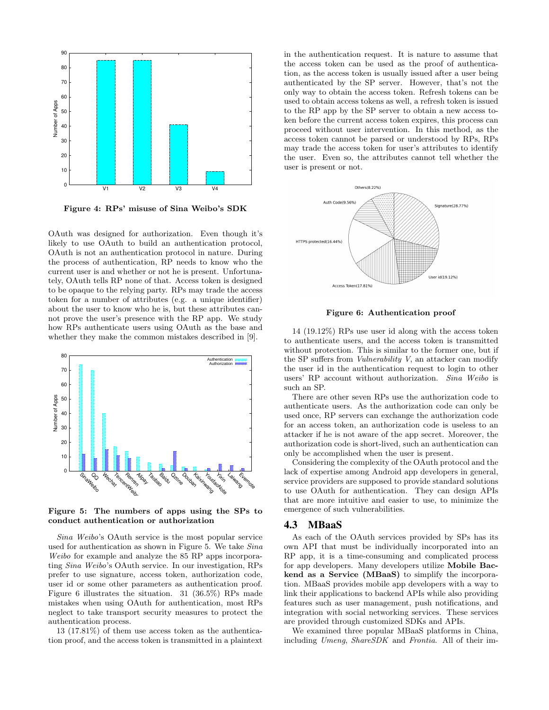

Figure 4: RPs' misuse of Sina Weibo's SDK

OAuth was designed for authorization. Even though it's likely to use OAuth to build an authentication protocol, OAuth is not an authentication protocol in nature. During the process of authentication, RP needs to know who the current user is and whether or not he is present. Unfortunately, OAuth tells RP none of that. Access token is designed to be opaque to the relying party. RPs may trade the access token for a number of attributes (e.g. a unique identifier) about the user to know who he is, but these attributes cannot prove the user's presence with the RP app. We study how RPs authenticate users using OAuth as the base and whether they make the common mistakes described in [9].



Figure 5: The numbers of apps using the SPs to conduct authentication or authorization

Sina Weibo's OAuth service is the most popular service used for authentication as shown in Figure 5. We take Sina Weibo for example and analyze the 85 RP apps incorporating Sina Weibo's OAuth service. In our investigation, RPs prefer to use signature, access token, authorization code, user id or some other parameters as authentication proof. Figure 6 illustrates the situation. 31 (36.5%) RPs made mistakes when using OAuth for authentication, most RPs neglect to take transport security measures to protect the authentication process.

13 (17.81%) of them use access token as the authentication proof, and the access token is transmitted in a plaintext in the authentication request. It is nature to assume that the access token can be used as the proof of authentication, as the access token is usually issued after a user being authenticated by the SP server. However, that's not the only way to obtain the access token. Refresh tokens can be used to obtain access tokens as well, a refresh token is issued to the RP app by the SP server to obtain a new access token before the current access token expires, this process can proceed without user intervention. In this method, as the access token cannot be parsed or understood by RPs, RPs may trade the access token for user's attributes to identify the user. Even so, the attributes cannot tell whether the user is present or not.



Figure 6: Authentication proof

14 (19.12%) RPs use user id along with the access token to authenticate users, and the access token is transmitted without protection. This is similar to the former one, but if the SP suffers from Vulnerability V, an attacker can modify the user id in the authentication request to login to other users' RP account without authorization. Sina Weibo is such an SP.

There are other seven RPs use the authorization code to authenticate users. As the authorization code can only be used once, RP servers can exchange the authorization code for an access token, an authorization code is useless to an attacker if he is not aware of the app secret. Moreover, the authorization code is short-lived, such an authentication can only be accomplished when the user is present.

Considering the complexity of the OAuth protocol and the lack of expertise among Android app developers in general, service providers are supposed to provide standard solutions to use OAuth for authentication. They can design APIs that are more intuitive and easier to use, to minimize the emergence of such vulnerabilities.

#### 4.3 MBaaS

As each of the OAuth services provided by SPs has its own API that must be individually incorporated into an RP app, it is a time-consuming and complicated process for app developers. Many developers utilize Mobile Backend as a Service (MBaaS) to simplify the incorporation. MBaaS provides mobile app developers with a way to link their applications to backend APIs while also providing features such as user management, push notifications, and integration with social networking services. These services are provided through customized SDKs and APIs.

We examined three popular MBaaS platforms in China, including Umeng, ShareSDK and Frontia. All of their im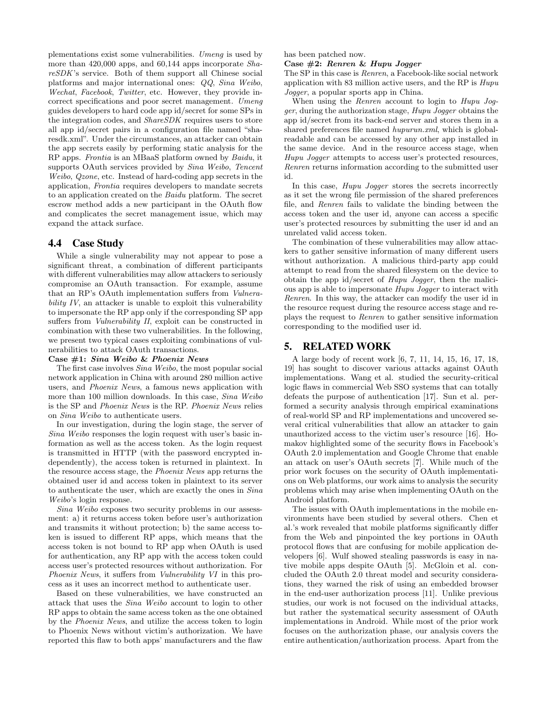plementations exist some vulnerabilities. Umeng is used by more than 420,000 apps, and 60,144 apps incorporate ShareSDK's service. Both of them support all Chinese social platforms and major international ones: QQ, Sina Weibo, Wechat, Facebook, Twitter, etc. However, they provide incorrect specifications and poor secret management. Umeng guides developers to hard code app id/secret for some SPs in the integration codes, and ShareSDK requires users to store all app id/secret pairs in a configuration file named "sharesdk.xml". Under the circumstances, an attacker can obtain the app secrets easily by performing static analysis for the RP apps. Frontia is an MBaaS platform owned by Baidu, it supports OAuth services provided by Sina Weibo, Tencent Weibo, Qzone, etc. Instead of hard-coding app secrets in the application, Frontia requires developers to mandate secrets to an application created on the Baidu platform. The secret escrow method adds a new participant in the OAuth flow and complicates the secret management issue, which may expand the attack surface.

# 4.4 Case Study

While a single vulnerability may not appear to pose a significant threat, a combination of different participants with different vulnerabilities may allow attackers to seriously compromise an OAuth transaction. For example, assume that an RP's OAuth implementation suffers from Vulnerability IV, an attacker is unable to exploit this vulnerability to impersonate the RP app only if the corresponding SP app suffers from *Vulnerability II*, exploit can be constructed in combination with these two vulnerabilities. In the following, we present two typical cases exploiting combinations of vulnerabilities to attack OAuth transactions.

#### Case #1: Sina Weibo & Phoenix News

The first case involves Sina Weibo, the most popular social network application in China with around 280 million active users, and Phoenix News, a famous news application with more than 100 million downloads. In this case, Sina Weibo is the SP and Phoenix News is the RP. Phoenix News relies on Sina Weibo to authenticate users.

In our investigation, during the login stage, the server of Sina Weibo responses the login request with user's basic information as well as the access token. As the login request is transmitted in HTTP (with the password encrypted independently), the access token is returned in plaintext. In the resource access stage, the Phoenix News app returns the obtained user id and access token in plaintext to its server to authenticate the user, which are exactly the ones in Sina Weibo's login response.

Sina Weibo exposes two security problems in our assessment: a) it returns access token before user's authorization and transmits it without protection; b) the same access token is issued to different RP apps, which means that the access token is not bound to RP app when OAuth is used for authentication, any RP app with the access token could access user's protected resources without authorization. For Phoenix News, it suffers from Vulnerability VI in this process as it uses an incorrect method to authenticate user.

Based on these vulnerabilities, we have constructed an attack that uses the Sina Weibo account to login to other RP apps to obtain the same access token as the one obtained by the Phoenix News, and utilize the access token to login to Phoenix News without victim's authorization. We have reported this flaw to both apps' manufacturers and the flaw has been patched now.

#### Case #2: Renren & Hupu Jogger

The SP in this case is Renren, a Facebook-like social network application with 83 million active users, and the RP is Hupu Jogger, a popular sports app in China.

When using the Renren account to login to Hupu Jogger, during the authorization stage, Hupu Jogger obtains the app id/secret from its back-end server and stores them in a shared preferences file named *hupurun.xml*, which is globalreadable and can be accessed by any other app installed in the same device. And in the resource access stage, when Hupu Jogger attempts to access user's protected resources, Renren returns information according to the submitted user id.

In this case, *Hupu Jogger* stores the secrets incorrectly as it set the wrong file permission of the shared preferences file, and Renren fails to validate the binding between the access token and the user id, anyone can access a specific user's protected resources by submitting the user id and an unrelated valid access token.

The combination of these vulnerabilities may allow attackers to gather sensitive information of many different users without authorization. A malicious third-party app could attempt to read from the shared filesystem on the device to obtain the app id/secret of Hupu Jogger, then the malicious app is able to impersonate Hupu Jogger to interact with Renren. In this way, the attacker can modify the user id in the resource request during the resource access stage and replays the request to Renren to gather sensitive information corresponding to the modified user id.

## 5. RELATED WORK

A large body of recent work [6, 7, 11, 14, 15, 16, 17, 18, 19] has sought to discover various attacks against OAuth implementations. Wang et al. studied the security-critical logic flaws in commercial Web SSO systems that can totally defeats the purpose of authentication [17]. Sun et al. performed a security analysis through empirical examinations of real-world SP and RP implementations and uncovered several critical vulnerabilities that allow an attacker to gain unauthorized access to the victim user's resource [16]. Homakov highlighted some of the security flows in Facebook's OAuth 2.0 implementation and Google Chrome that enable an attack on user's OAuth secrets [7]. While much of the prior work focuses on the security of OAuth implementations on Web platforms, our work aims to analysis the security problems which may arise when implementing OAuth on the Android platform.

The issues with OAuth implementations in the mobile environments have been studied by several others. Chen et al.'s work revealed that mobile platforms significantly differ from the Web and pinpointed the key portions in OAuth protocol flows that are confusing for mobile application developers [6]. Wulf showed stealing passwords is easy in native mobile apps despite OAuth [5]. McGloin et al. concluded the OAuth 2.0 threat model and security considerations, they warned the risk of using an embedded browser in the end-user authorization process [11]. Unlike previous studies, our work is not focused on the individual attacks, but rather the systematical security assessment of OAuth implementations in Android. While most of the prior work focuses on the authorization phase, our analysis covers the entire authentication/authorization process. Apart from the